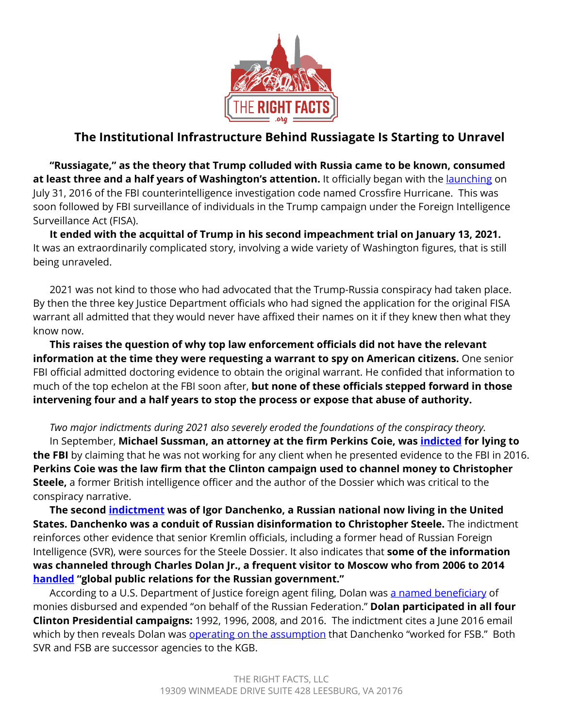

# **The Institutional Infrastructure Behind Russiagate Is Starting to Unravel**

**"Russiagate," as the theory that Trump colluded with Russia came to be known, consumed at least three and a half years of Washington's attention.** It officially began with the [launching](https://www.justice.gov/storage/120919-examination.pdf) on July 31, 2016 of the FBI counterintelligence investigation code named Crossfire Hurricane. This was soon followed by FBI surveillance of individuals in the Trump campaign under the Foreign Intelligence Surveillance Act (FISA).

**It ended with the acquittal of Trump in his second impeachment trial on January 13, 2021.**  It was an extraordinarily complicated story, involving a wide variety of Washington figures, that is still being unraveled.

2021 was not kind to those who had advocated that the Trump-Russia conspiracy had taken place. By then the three key Justice Department officials who had signed the application for the original FISA warrant all admitted that they would never have affixed their names on it if they knew then what they know now.

**This raises the question of why top law enforcement officials did not have the relevant information at the time they were requesting a warrant to spy on American citizens.** One senior FBI official admitted doctoring evidence to obtain the original warrant. He confided that information to much of the top echelon at the FBI soon after, **but none of these officials stepped forward in those intervening four and a half years to stop the process or expose that abuse of authority.**

### *Two major indictments during 2021 also severely eroded the foundations of the conspiracy theory.*

In September, **Michael Sussman, an attorney at the firm Perkins Coie, was [indicted](https://www.justice.gov/sco/pr/grand-jury-indicts-dc-attorney-making-false-statements-fbi-2016-regarding-alleged) for lying to the FBI** by claiming that he was not working for any client when he presented evidence to the FBI in 2016. **Perkins Coie was the law firm that the Clinton campaign used to channel money to Christopher Steele,** a former British intelligence officer and the author of the Dossier which was critical to the conspiracy narrative.

**The second [indictment](https://www.justice.gov/sco/press-release/file/1446386/download) was of Igor Danchenko, a Russian national now living in the United States. Danchenko was a conduit of Russian disinformation to Christopher Steele.** The indictment reinforces other evidence that senior Kremlin officials, including a former head of Russian Foreign Intelligence (SVR), were sources for the Steele Dossier. It also indicates that **some of the information was channeled through Charles Dolan Jr., a frequent visitor to Moscow who from 2006 to 2014 [handled](https://www.justice.gov/sco/press-release/file/1446386/download) "global public relations for the Russian government."** 

According to a U.S. Department of Justice foreign agent filing, Dolan was [a named beneficiary](https://efile.fara.gov/docs/5758-Supplemental-Statement-20120905-18.pdf) of monies disbursed and expended "on behalf of the Russian Federation." **Dolan participated in all four Clinton Presidential campaigns:** 1992, 1996, 2008, and 2016. The indictment cites a June 2016 email which by then reveals Dolan was [operating on the assumption](https://www.justice.gov/sco/press-release/file/1446386/download) that Danchenko "worked for FSB." Both SVR and FSB are successor agencies to the KGB.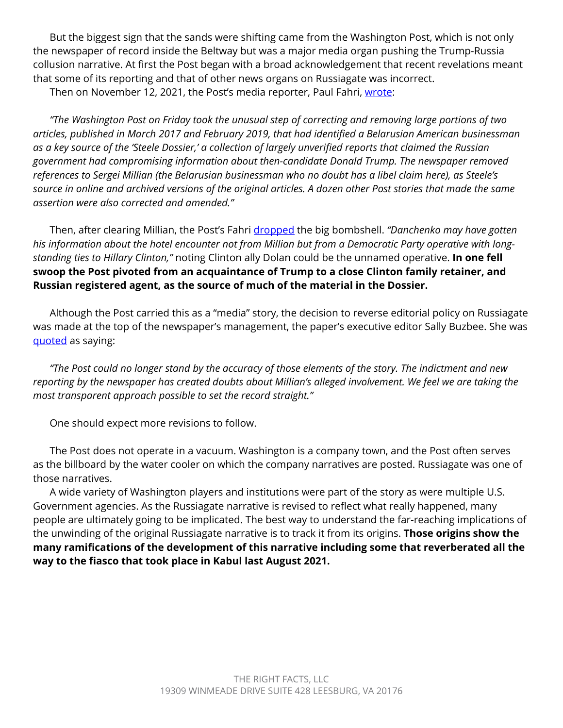But the biggest sign that the sands were shifting came from the Washington Post, which is not only the newspaper of record inside the Beltway but was a major media organ pushing the Trump-Russia collusion narrative. At first the Post began with a broad acknowledgement that recent revelations meant that some of its reporting and that of other news organs on Russiagate was incorrect. Then on November 12, 2021, the Post's media reporter, Paul Fahri, [wrote:](https://www.washingtonpost.com/lifestyle/style/media-washington-post-steele-dossier/2021/11/12/f7c9b770-43d5-11ec-a88e-2aa4632af69b_story.html)

*"The Washington Post on Friday took the unusual step of correcting and removing large portions of two articles, published in March 2017 and February 2019, that had identified a Belarusian American businessman as a key source of the 'Steele Dossier,' a collection of largely unverified reports that claimed the Russian government had compromising information about then-candidate Donald Trump. The newspaper removed references to Sergei Millian (the Belarusian businessman who no doubt has a libel claim here), as Steele's source in online and archived versions of the original articles. A dozen other Post stories that made the same assertion were also corrected and amended."*

Then, after clearing Millian, the Post's Fahri [dropped](https://www.washingtonpost.com/lifestyle/style/media-washington-post-steele-dossier/2021/11/12/f7c9b770-43d5-11ec-a88e-2aa4632af69b_story.html) the big bombshell. *"Danchenko may have gotten his information about the hotel encounter not from Millian but from a Democratic Party operative with longstanding ties to Hillary Clinton,"* noting Clinton ally Dolan could be the unnamed operative. **In one fell swoop the Post pivoted from an acquaintance of Trump to a close Clinton family retainer, and Russian registered agent, as the source of much of the material in the Dossier.**

Although the Post carried this as a "media" story, the decision to reverse editorial policy on Russiagate was made at the top of the newspaper's management, the paper's executive editor Sally Buzbee. She was [quoted](https://www.washingtonpost.com/lifestyle/style/media-washington-post-steele-dossier/2021/11/12/f7c9b770-43d5-11ec-a88e-2aa4632af69b_story.html) as saying:

*"The Post could no longer stand by the accuracy of those elements of the story. The indictment and new reporting by the newspaper has created doubts about Millian's alleged involvement. We feel we are taking the most transparent approach possible to set the record straight."*

One should expect more revisions to follow.

The Post does not operate in a vacuum. Washington is a company town, and the Post often serves as the billboard by the water cooler on which the company narratives are posted. Russiagate was one of those narratives.

A wide variety of Washington players and institutions were part of the story as were multiple U.S. Government agencies. As the Russiagate narrative is revised to reflect what really happened, many people are ultimately going to be implicated. The best way to understand the far-reaching implications of the unwinding of the original Russiagate narrative is to track it from its origins. **Those origins show the many ramifications of the development of this narrative including some that reverberated all the way to the fiasco that took place in Kabul last August 2021.**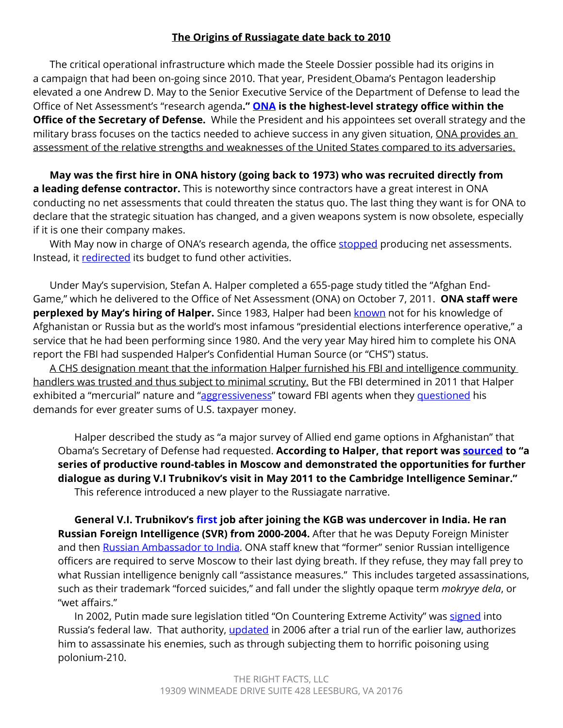### **The Origins of Russiagate date back to 2010**

The critical operational infrastructure which made the Steele Dossier possible had its origins in a campaign that had been on-going since 2010. That year, President Obama's Pentagon leadership elevated a one Andrew D. May to the Senior Executive Service of the Department of Defense to lead the Office of Net Assessment's "research agenda**." [ONA](https://www.defense.gov/About/Office-of-the-Secretary-of-Defense/Office-of-Net-Assessment/) is the highest-level strategy office within the Office of the Secretary of Defense.** While the President and his appointees set overall strategy and the military brass focuses on the tactics needed to achieve success in any given situation, ONA provides an assessment of the relative strengths and weaknesses of the United States compared to its adversaries.

**May was the first hire in ONA history (going back to 1973) who was recruited directly from a leading defense contractor.** This is noteworthy since contractors have a great interest in ONA conducting no net assessments that could threaten the status quo. The last thing they want is for ONA to declare that the strategic situation has changed, and a given weapons system is now obsolete, especially if it is one their company makes.

With May now in charge of ONA's research agenda, the office [stopped](https://www.grassley.senate.gov/news/news-releases/grassley-case-waste-fraud-and-abuse-office-net-assessment) producing net assessments. Instead, it [redirected](https://www.grassley.senate.gov/news/news-releases/grassley-case-waste-fraud-and-abuse-office-net-assessment) its budget to fund other activities.

Under May's supervision, Stefan A. Halper completed a 655-page study titled the "Afghan End-Game," which he delivered to the Office of Net Assessment (ONA) on October 7, 2011. **ONA staff were perplexed by May's hiring of Halper.** Since 1983, Halper had been **known** not for his knowledge of Afghanistan or Russia but as the world's most infamous "presidential elections interference operative," a service that he had been performing since 1980. And the very year May hired him to complete his ONA report the FBI had suspended Halper's Confidential Human Source (or "CHS") status.

A CHS designation meant that the information Halper furnished his FBI and intelligence community handlers was trusted and thus subject to minimal scrutiny. But the FBI determined in 2011 that Halper exhibited a "mercurial" nature and "[aggressiveness"](file:////Users/jessicalovinger/Downloads/IG%20Report,%20313;%20https:/apps.npr.org/documents/document.html%3fid=6571534-OIG-Russia-Investigation-Report.) toward FBI agents when they [questioned](https://www.justice.gov/storage/120919-examination.pdf) his demands for ever greater sums of U.S. taxpayer money.

Halper described the study as "a major survey of Allied end game options in Afghanistan" that Obama's Secretary of Defense had requested. **According to Halper, that report was [sourced](https://www.grassley.senate.gov/news/news-releases/halper-docs-raise-new-questions-about-office-net-assessment-s-purpose-compliance) to "a series of productive round-tables in Moscow and demonstrated the opportunities for further dialogue as during V.I Trubnikov's visit in May 2011 to the Cambridge Intelligence Seminar."** This reference introduced a new player to the Russiagate narrative.

**General V.I. Trubnikov's [first](https://en.wikipedia.org/wiki/Vyacheslav_Trubnikov) job after joining the KGB was undercover in India. He ran Russian Foreign Intelligence (SVR) from 2000-2004.** After that he was Deputy Foreign Minister and then [Russian Ambassador to India.](http://en.kremlin.ru/events/president/news/32040) ONA staff knew that "former" senior Russian intelligence officers are required to serve Moscow to their last dying breath. If they refuse, they may fall prey to what Russian intelligence benignly call "assistance measures." This includes targeted assassinations, such as their trademark "forced suicides," and fall under the slightly opaque term *mokryye dela*, or "wet affairs."

In 2002, Putin made sure legislation titled "On Countering Extreme Activity" was [signed](https://digitalcommons.usf.edu/cgi/viewcontent.cgi?article=1247&context=jss) into Russia's federal law. That authority, [updated](https://digitalcommons.usf.edu/cgi/viewcontent.cgi?article=1247&context=jss) in 2006 after a trial run of the earlier law, authorizes him to assassinate his enemies, such as through subjecting them to horrific poisoning using polonium-210.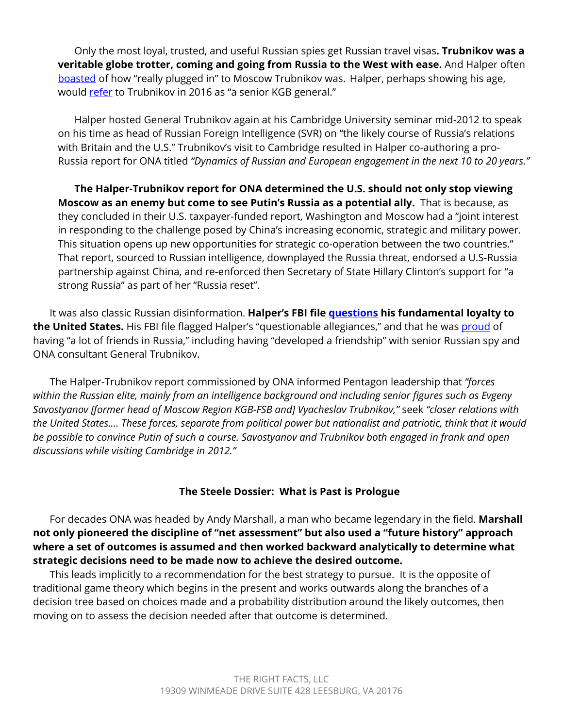Only the most loyal, trusted, and useful Russian spies get Russian travel visas**. Trubnikov was a veritable globe trotter, coming and going from Russia to the West with ease.** And Halper often [boasted](https://www.judiciary.senate.gov/imo/media/doc/2020-3-13%20FISA%20Senate%20-%20Transcript%20of%20George%20Papadopoulos%20and%20FBI%20Confidential%20Human%20Source%20declassified%20March%2013%202020.pdf) of how "really plugged in" to Moscow Trubnikov was. Halper, perhaps showing his age, would [refer](https://www.judiciary.senate.gov/imo/media/doc/2020-3-13%20FISA%20Senate%20-%20Transcript%20of%20George%20Papadopoulos%20and%20FBI%20Confidential%20Human%20Source%20declassified%20March%2013%202020.pdf) to Trubnikov in 2016 as "a senior KGB general."

Halper hosted General Trubnikov again at his Cambridge University seminar mid-2012 to speak on his time as head of Russian Foreign Intelligence (SVR) on "the likely course of Russia's relations with Britain and the U.S." Trubnikov's visit to Cambridge resulted in Halper co-authoring a pro-Russia report for ONA titled *"Dynamics of Russian and European engagement in the next 10 to 20 years."* 

**The Halper-Trubnikov report for ONA determined the U.S. should not only stop viewing Moscow as an enemy but come to see Putin's Russia as a potential ally.** That is because, as they concluded in their U.S. taxpayer-funded report, Washington and Moscow had a "joint interest in responding to the challenge posed by China's increasing economic, strategic and military power. This situation opens up new opportunities for strategic co-operation between the two countries." That report, sourced to Russian intelligence, downplayed the Russia threat, endorsed a U.S-Russia partnership against China, and re-enforced then Secretary of State Hillary Clinton's support for "a strong Russia" as part of her "Russia reset".

It was also classic Russian disinformation. **Halper's FBI file [questions](https://www.justice.gov/storage/120919-examination.pdf) his fundamental loyalty to the United States.** His FBI file flagged Halper's "questionable allegiances," and that he was [proud](https://www.justice.gov/storage/120919-examination.pdf) of having "a lot of friends in Russia," including having "developed a friendship" with senior Russian spy and ONA consultant General Trubnikov.

The Halper-Trubnikov report commissioned by ONA informed Pentagon leadership that *"forces within the Russian elite, mainly from an intelligence background and including senior figures such as Evgeny Savostyanov [former head of Moscow Region KGB-FSB and] Vyacheslav Trubnikov,"* seek *"closer relations with the United States…. These forces, separate from political power but nationalist and patriotic, think that it would be possible to convince Putin of such a course. Savostyanov and Trubnikov both engaged in frank and open discussions while visiting Cambridge in 2012."* 

### **The Steele Dossier: What is Past is Prologue**

For decades ONA was headed by Andy Marshall, a man who became legendary in the field. **Marshall not only pioneered the discipline of "net assessment" but also used a "future history" approach where a set of outcomes is assumed and then worked backward analytically to determine what strategic decisions need to be made now to achieve the desired outcome.** 

This leads implicitly to a recommendation for the best strategy to pursue. It is the opposite of traditional game theory which begins in the present and works outwards along the branches of a decision tree based on choices made and a probability distribution around the likely outcomes, then moving on to assess the decision needed after that outcome is determined.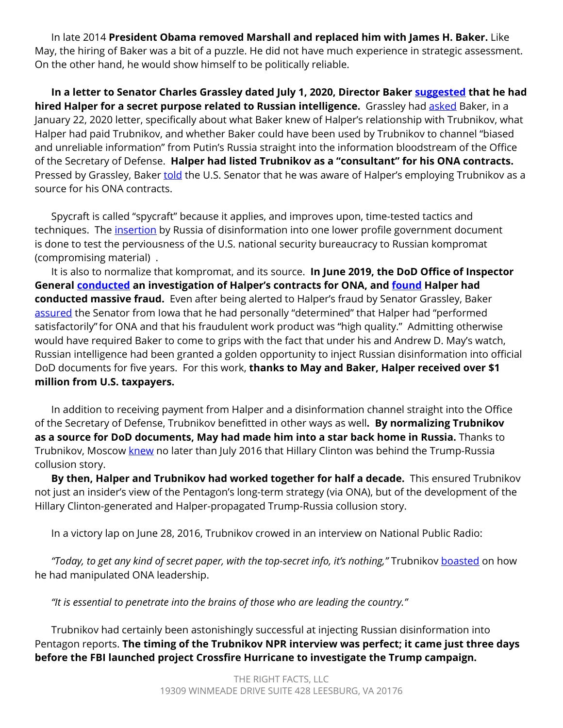In late 2014 **President Obama removed Marshall and replaced him with James H. Baker.** Like May, the hiring of Baker was a bit of a puzzle. He did not have much experience in strategic assessment. On the other hand, he would show himself to be politically reliable.

**In a letter to Senator Charles Grassley dated July 1, 2020, Director Baker [suggested](https://www.grassley.senate.gov/imo/media/doc/2020-07-01%20ONA%20to%20CEG%20(Halper%20Second%20Follow%20Up)1.pdf) that he had hired Halper for a secret purpose related to Russian intelligence.** Grassley had **asked** Baker, in a January 22, 2020 letter, specifically about what Baker knew of Halper's relationship with Trubnikov, what Halper had paid Trubnikov, and whether Baker could have been used by Trubnikov to channel "biased and unreliable information" from Putin's Russia straight into the information bloodstream of the Office of the Secretary of Defense. **Halper had listed Trubnikov as a "consultant" for his ONA contracts.** Pressed by Grassley, Baker [told](https://www.grassley.senate.gov/imo/media/doc/2020-07-01%20ONA%20to%20CEG%20(Halper%20Second%20Follow%20Up)1.pdf) the U.S. Senator that he was aware of Halper's employing Trubnikov as a source for his ONA contracts.

Spycraft is called "spycraft" because it applies, and improves upon, time-tested tactics and techniques. The *[insertion](https://www.grassley.senate.gov/imo/media/doc/2020-07-01%20ONA%20to%20CEG%20(Halper%20Second%20Follow%20Up)1.pdf)* by Russia of disinformation into one lower profile government document is done to test the perviousness of the U.S. national security bureaucracy to Russian kompromat (compromising material) .

It is also to normalize that kompromat, and its source. **In June 2019, the DoD Office of Inspector General [conducted](https://www.grassley.senate.gov/news/news-releases/grassley-continues-press-dod-over-mismanagement-stefan-halper-contracts) an investigation of Halper's contracts for ONA, and [found](https://media.defense.gov/2020/Oct/22/2002521472/-1/-1/1/DOD%20OIG%20MEMO%20D2019-D000AX-0104_REDACTED_WITH%20COVERS.PDF) Halper had conducted massive fraud.** Even after being alerted to Halper's fraud by Senator Grassley, Baker [assured](https://www.grassley.senate.gov/imo/media/doc/2019-08-06%20DOD%20to%20CEG%20(Corrective%20Action%20Plan%20for%20DoD%20IG%20Audit)(strikethrough)_0.pdf) the Senator from Iowa that he had personally "determined" that Halper had "performed satisfactorily"for ONA and that his fraudulent work product was "high quality." Admitting otherwise would have required Baker to come to grips with the fact that under his and Andrew D. May's watch, Russian intelligence had been granted a golden opportunity to inject Russian disinformation into official DoD documents for five years. For this work, **thanks to May and Baker, Halper received over \$1 million from U.S. taxpayers.** 

In addition to receiving payment from Halper and a disinformation channel straight into the Office of the Secretary of Defense, Trubnikov benefitted in other ways as well**. By normalizing Trubnikov as a source for DoD documents, May had made him into a star back home in Russia.** Thanks to Trubnikov, Moscow [knew](https://www.judiciary.senate.gov/imo/media/doc/09-29-20_Letter%20to%20Sen.%20Graham_Declassification%20of%20FBI) no later than July 2016 that Hillary Clinton was behind the Trump-Russia collusion story.

**By then, Halper and Trubnikov had worked together for half a decade.** This ensured Trubnikov not just an insider's view of the Pentagon's long-term strategy (via ONA), but of the development of the Hillary Clinton-generated and Halper-propagated Trump-Russia collusion story.

In a victory lap on June 28, 2016, Trubnikov crowed in an interview on National Public Radio:

*"Today, to get any kind of secret paper, with the top-secret info, it's nothing,"* Trubnikov [boasted](https://www.npr.org/transcripts/483734866) on how he had manipulated ONA leadership.

*"It is essential to penetrate into the brains of those who are leading the country."* 

Trubnikov had certainly been astonishingly successful at injecting Russian disinformation into Pentagon reports. **The timing of the Trubnikov NPR interview was perfect; it came just three days before the FBI launched project Crossfire Hurricane to investigate the Trump campaign.**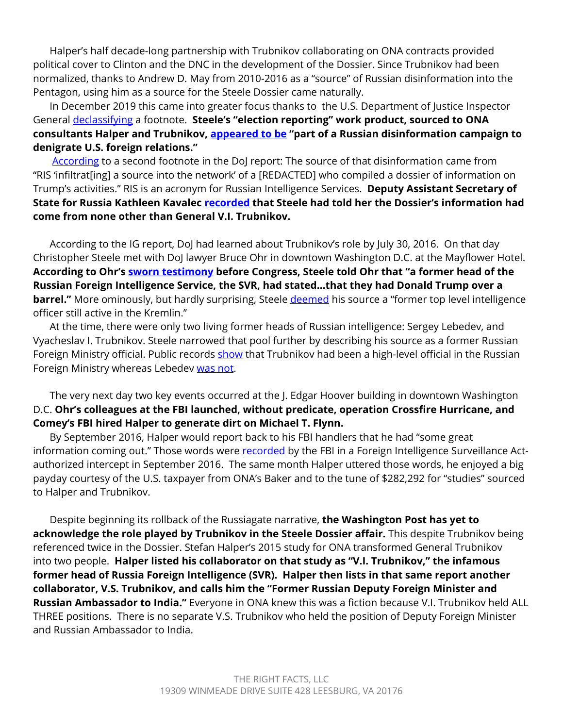Halper's half decade-long partnership with Trubnikov collaborating on ONA contracts provided political cover to Clinton and the DNC in the development of the Dossier. Since Trubnikov had been normalized, thanks to Andrew D. May from 2010-2016 as a "source" of Russian disinformation into the Pentagon, using him as a source for the Steele Dossier came naturally.

In December 2019 this came into greater focus thanks to the U.S. Department of Justice Inspector General [declassifying](https://www.justice.gov/storage/120919-examination.pdf) a footnote. **Steele's "election reporting" work product, sourced to ONA consultants Halper and Trubnikov, [appeared to be](https://www.justice.gov/storage/120919-examination.pdf) "part of a Russian disinformation campaign to denigrate U.S. foreign relations."** 

[According](https://www.justice.gov/storage/120919-examination.pdf) to a second footnote in the DoJ report: The source of that disinformation came from "RIS 'infiltrat[ing] a source into the network' of a [REDACTED] who compiled a dossier of information on Trump's activities." RIS is an acronym for Russian Intelligence Services. **Deputy Assistant Secretary of State for Russia Kathleen Kavalec [recorded](https://www.scribd.com/document/409364009/Kavalec-Less-Redacted-Memo) that Steele had told her the Dossier's information had come from none other than General V.I. Trubnikov.** 

According to the IG report, DoJ had learned about Trubnikov's role by July 30, 2016. On that day Christopher Steele met with DoJ lawyer Bruce Ohr in downtown Washington D.C. at the Mayflower Hotel. **According to Ohr's [sworn testimony](https://dougcollins.house.gov/sites/dougcollins.house.gov/files/Ohr%20Interview%20Transcript%208.28.18.pdf?utm_source=Collins+Judiciary+Press+List&utm_campaign=9b7433685d-EMAIL_CAMPAIGN_2019_03_07_11_37&utm_medium=email&utm_term=0_ff92df788e-9b7433685d-168921541) before Congress, Steele told Ohr that "a former head of the Russian Foreign Intelligence Service, the SVR, had stated…that they had Donald Trump over a barrel."** More ominously, but hardly surprising, Steele [deemed](https://s3.documentcloud.org/documents/3259984/Trump-Intelligence-Allegations.pdf) his source a "former top level intelligence officer still active in the Kremlin."

At the time, there were only two living former heads of Russian intelligence: Sergey Lebedev, and Vyacheslav I. Trubnikov. Steele narrowed that pool further by describing his source as a former Russian Foreign Ministry official. Public records [show](https://russiancouncil.ru/vyacheslav-trubnikov/) that Trubnikov had been a high-level official in the Russian Foreign Ministry whereas Lebedev [was not](https://en.wikipedia.org/wiki/Sergey_Lebedev_(politician)).

The very next day two key events occurred at the J. Edgar Hoover building in downtown Washington D.C. **Ohr's colleagues at the FBI launched, without predicate, operation Crossfire Hurricane, and Comey's FBI hired Halper to generate dirt on Michael T. Flynn.**

By September 2016, Halper would report back to his FBI handlers that he had "some great information coming out." Those words were [recorded](https://www.judiciary.senate.gov/imo/media/doc/2020-3-13%20FISA%20Senate%20-%20Transcript%20of%20George%20Papadopoulos%20and%20FBI%20Confidential%20Human%20Source%20declassified%20March%2013%202020.pdf) by the FBI in a Foreign Intelligence Surveillance Actauthorized intercept in September 2016. The same month Halper uttered those words, he enjoyed a big payday courtesy of the U.S. taxpayer from ONA's Baker and to the tune of \$282,292 for "studies" sourced to Halper and Trubnikov.

Despite beginning its rollback of the Russiagate narrative, **the Washington Post has yet to acknowledge the role played by Trubnikov in the Steele Dossier affair.** This despite Trubnikov being referenced twice in the Dossier. Stefan Halper's 2015 study for ONA transformed General Trubnikov into two people. **Halper listed his collaborator on that study as "V.I. Trubnikov," the infamous former head of Russia Foreign Intelligence (SVR). Halper then lists in that same report another collaborator, V.S. Trubnikov, and calls him the "Former Russian Deputy Foreign Minister and Russian Ambassador to India."** Everyone in ONA knew this was a fiction because V.I. Trubnikov held ALL THREE positions. There is no separate V.S. Trubnikov who held the position of Deputy Foreign Minister and Russian Ambassador to India.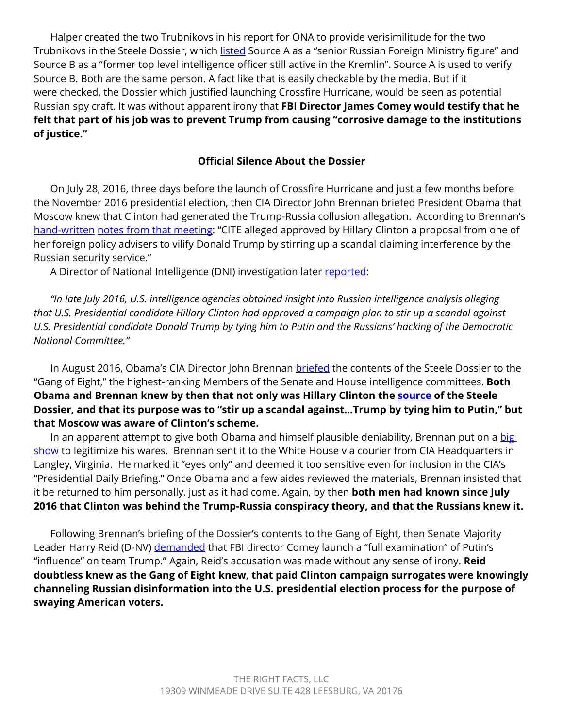Halper created the two Trubnikovs in his report for ONA to provide verisimilitude for the two Trubnikovs in the Steele Dossier, which [listed](https://s3.documentcloud.org/documents/3259984/Trump-Intelligence-Allegations.pdf) Source A as a "senior Russian Foreign Ministry figure" and Source B as a "former top level intelligence officer still active in the Kremlin". Source A is used to verify Source B. Both are the same person. A fact like that is easily checkable by the media. But if it were checked, the Dossier which justified launching Crossfire Hurricane, would be seen as potential Russian spy craft. It was without apparent irony that **FBI Director James Comey would testify that he felt that part of his job was to prevent Trump from causing "corrosive damage to the institutions of justice."** 

### **Official Silence About the Dossier**

On July 28, 2016, three days before the launch of Crossfire Hurricane and just a few months before the November 2016 presidential election, then CIA Director John Brennan briefed President Obama that Moscow knew that Clinton had generated the Trump-Russia collusion allegation. According to Brennan's [hand-written](https://overland.amgreatness.com/app/uploads/2020/10/ENCLOSURE_1__Brennan_Notes__U-1.pdf) notes from that meeting: "CITE alleged approved by Hillary Clinton a proposal from one of her foreign policy advisers to vilify Donald Trump by stirring up a scandal claiming interference by the Russian security service."

A Director of National Intelligence (DNI) investigation later [reported:](https://www.judiciary.senate.gov/imo/media/doc/09-29-20_Letter%20to%20Sen.%20Graham_Declassification%20of%20FBI)

*"In late July 2016, U.S. intelligence agencies obtained insight into Russian intelligence analysis alleging that U.S. Presidential candidate Hillary Clinton had approved a campaign plan to stir up a scandal against U.S. Presidential candidate Donald Trump by tying him to Putin and the Russians' hacking of the Democratic National Committee."*

In August 2016, Obama's CIA Director John Brennan [briefed](https://www.nytimes.com/2017/04/06/us/trump-russia-cia-john-brennan.html) the contents of the Steele Dossier to the "Gang of Eight," the highest-ranking Members of the Senate and House intelligence committees. **Both Obama and Brennan knew by then that not only was Hillary Clinton the [source](https://www.judiciary.senate.gov/imo/media/doc/09-29-20_Letter%20to%20Sen.%20Graham_Declassification%20of%20FBI) of the Steele Dossier, and that its purpose was to "stir up a scandal against…Trump by tying him to Putin," but that Moscow was aware of Clinton's scheme.**

In an apparent attempt to give both Obama and himself plausible deniability, Brennan put on a big [show](https://www.washingtonpost.com/graphics/2017/world/national-security/obama-putin-election-hacking/) to legitimize his wares. Brennan sent it to the White House via courier from CIA Headquarters in Langley, Virginia. He marked it "eyes only" and deemed it too sensitive even for inclusion in the CIA's "Presidential Daily Briefing." Once Obama and a few aides reviewed the materials, Brennan insisted that it be returned to him personally, just as it had come. Again, by then **both men had known since July 2016 that Clinton was behind the Trump-Russia conspiracy theory, and that the Russians knew it.**

Following Brennan's briefing of the Dossier's contents to the Gang of Eight, then Senate Majority Leader Harry Reid (D-NV) [demanded](https://irp.fas.org/congress/2016_cr/reid-comey.pdf) that FBI director Comey launch a "full examination" of Putin's "influence" on team Trump." Again, Reid's accusation was made without any sense of irony. **Reid doubtless knew as the Gang of Eight knew, that paid Clinton campaign surrogates were knowingly channeling Russian disinformation into the U.S. presidential election process for the purpose of swaying American voters.**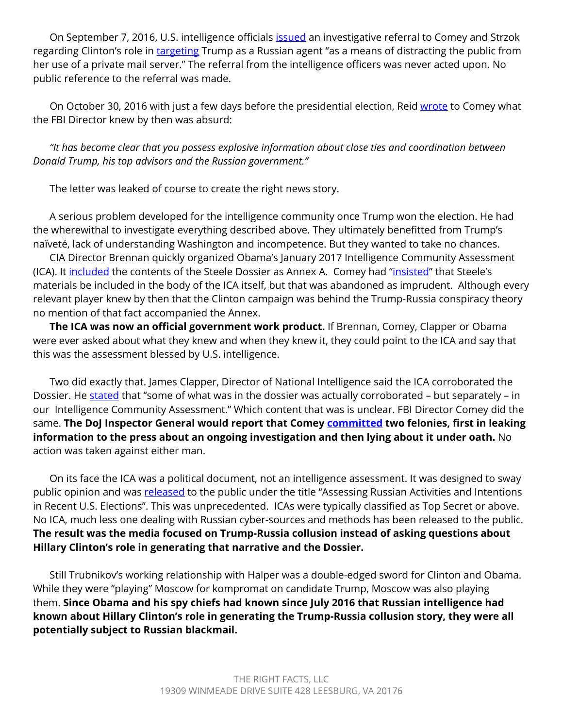On September 7, 2016, U.S. intelligence officials *issued* an investigative referral to Comey and Strzok regarding Clinton's role in [targeting](https://www.judiciary.senate.gov/imo/media/doc/09-29-20_Letter%20to%20Sen.%20Graham_Declassification%20of%20FBI) Trump as a Russian agent "as a means of distracting the public from her use of a private mail server." The referral from the intelligence officers was never acted upon. No public reference to the referral was made.

On October 30, 2016 with just a few days before the presidential election, Reid [wrote](https://www.washingtonpost.com/news/the-fix/wp/2016/10/31/harry-reid-just-made-a-huge-incendiary-evidence-free-claim-about-trump-and-russia/) to Comey what the FBI Director knew by then was absurd:

*"It has become clear that you possess explosive information about close ties and coordination between Donald Trump, his top advisors and the Russian government."* 

The letter was leaked of course to create the right news story.

A serious problem developed for the intelligence community once Trump won the election. He had the wherewithal to investigate everything described above. They ultimately benefitted from Trump's naïveté, lack of understanding Washington and incompetence. But they wanted to take no chances.

CIA Director Brennan quickly organized Obama's January 2017 Intelligence Community Assessment (ICA). It [included](https://www.intelligence.senate.gov/sites/default/files/documents/Report_Volume4.pdf) the contents of the Steele Dossier as Annex A. Comey had ["insisted"](https://www.intelligence.senate.gov/sites/default/files/documents/Report_Volume4.pdf) that Steele's materials be included in the body of the ICA itself, but that was abandoned as imprudent. Although every relevant player knew by then that the Clinton campaign was behind the Trump-Russia conspiracy theory no mention of that fact accompanied the Annex.

**The ICA was now an official government work product.** If Brennan, Comey, Clapper or Obama were ever asked about what they knew and when they knew it, they could point to the ICA and say that this was the assessment blessed by U.S. intelligence.

Two did exactly that. James Clapper, Director of National Intelligence said the ICA corroborated the Dossier. He [stated](https://www.salon.com/2018/05/26/james-clapper-on-donald-trump-edward-snowden-torture-and-the-knowability-of-truth/) that "some of what was in the dossier was actually corroborated – but separately – in our Intelligence Community Assessment." Which content that was is unclear. FBI Director Comey did the same. **The DoJ Inspector General would report that Comey [committed](https://oig.justice.gov/reports/2019/o1902.pdf) two felonies, first in leaking information to the press about an ongoing investigation and then lying about it under oath.** No action was taken against either man.

On its face the ICA was a political document, not an intelligence assessment. It was designed to sway public opinion and was [released](https://www.dni.gov/files/documents/ICA_2017_01.pdf) to the public under the title "Assessing Russian Activities and Intentions in Recent U.S. Elections". This was unprecedented. ICAs were typically classified as Top Secret or above. No ICA, much less one dealing with Russian cyber-sources and methods has been released to the public. **The result was the media focused on Trump-Russia collusion instead of asking questions about Hillary Clinton's role in generating that narrative and the Dossier.** 

Still Trubnikov's working relationship with Halper was a double-edged sword for Clinton and Obama. While they were "playing" Moscow for kompromat on candidate Trump, Moscow was also playing them. **Since Obama and his spy chiefs had known since July 2016 that Russian intelligence had known about Hillary Clinton's role in generating the Trump-Russia collusion story, they were all potentially subject to Russian blackmail.**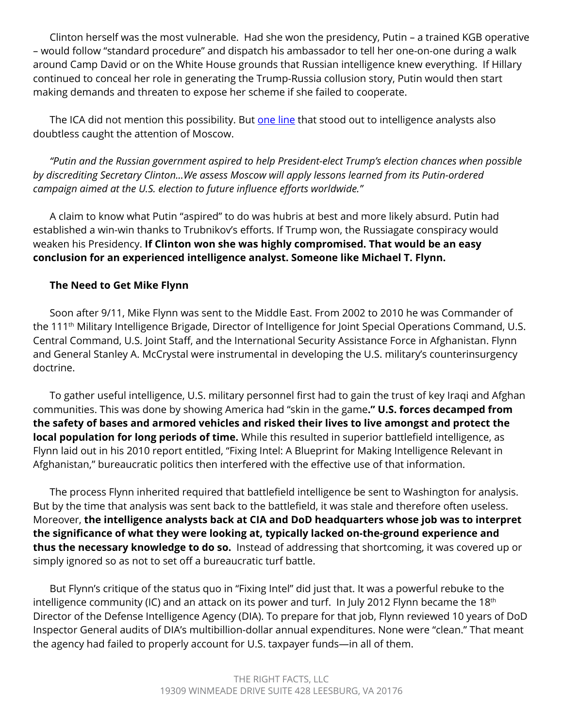Clinton herself was the most vulnerable. Had she won the presidency, Putin – a trained KGB operative – would follow "standard procedure" and dispatch his ambassador to tell her one-on-one during a walk around Camp David or on the White House grounds that Russian intelligence knew everything. If Hillary continued to conceal her role in generating the Trump-Russia collusion story, Putin would then start making demands and threaten to expose her scheme if she failed to cooperate.

The ICA did not mention this possibility. But [one line](https://www.dni.gov/files/documents/ICA_2017_01.pdf) that stood out to intelligence analysts also doubtless caught the attention of Moscow.

*"Putin and the Russian government aspired to help President-elect Trump's election chances when possible by discrediting Secretary Clinton...We assess Moscow will apply lessons learned from its Putin-ordered campaign aimed at the U.S. election to future influence efforts worldwide."* 

A claim to know what Putin "aspired" to do was hubris at best and more likely absurd. Putin had established a win-win thanks to Trubnikov's efforts. If Trump won, the Russiagate conspiracy would weaken his Presidency. **If Clinton won she was highly compromised. That would be an easy conclusion for an experienced intelligence analyst. Someone like Michael T. Flynn.**

# **The Need to Get Mike Flynn**

Soon after 9/11, Mike Flynn was sent to the Middle East. From 2002 to 2010 he was Commander of the 111th Military Intelligence Brigade, Director of Intelligence for Joint Special Operations Command, U.S. Central Command, U.S. Joint Staff, and the International Security Assistance Force in Afghanistan. Flynn and General Stanley A. McCrystal were instrumental in developing the U.S. military's counterinsurgency doctrine.

To gather useful intelligence, U.S. military personnel first had to gain the trust of key Iraqi and Afghan communities. This was done by showing America had "skin in the game**." U.S. forces decamped from the safety of bases and armored vehicles and risked their lives to live amongst and protect the local population for long periods of time.** While this resulted in superior battlefield intelligence, as Flynn laid out in his 2010 report entitled, "Fixing Intel: A Blueprint for Making Intelligence Relevant in Afghanistan," bureaucratic politics then interfered with the effective use of that information.

The process Flynn inherited required that battlefield intelligence be sent to Washington for analysis. But by the time that analysis was sent back to the battlefield, it was stale and therefore often useless. Moreover, **the intelligence analysts back at CIA and DoD headquarters whose job was to interpret the significance of what they were looking at, typically lacked on-the-ground experience and thus the necessary knowledge to do so.** Instead of addressing that shortcoming, it was covered up or simply ignored so as not to set off a bureaucratic turf battle.

But Flynn's critique of the status quo in "Fixing Intel" did just that. It was a powerful rebuke to the intelligence community (IC) and an attack on its power and turf. In July 2012 Flynn became the 18<sup>th</sup> Director of the Defense Intelligence Agency (DIA). To prepare for that job, Flynn reviewed 10 years of DoD Inspector General audits of DIA's multibillion-dollar annual expenditures. None were "clean." That meant the agency had failed to properly account for U.S. taxpayer funds—in all of them.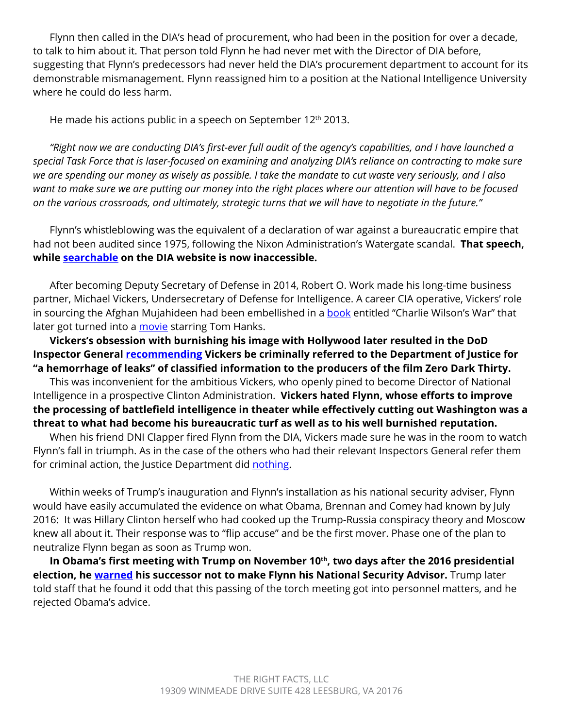Flynn then called in the DIA's head of procurement, who had been in the position for over a decade, to talk to him about it. That person told Flynn he had never met with the Director of DIA before, suggesting that Flynn's predecessors had never held the DIA's procurement department to account for its demonstrable mismanagement. Flynn reassigned him to a position at the National Intelligence University where he could do less harm.

He made his actions public in a speech on September 12<sup>th</sup> 2013.

*"Right now we are conducting DIA's first-ever full audit of the agency's capabilities, and I have launched a special Task Force that is laser-focused on examining and analyzing DIA's reliance on contracting to make sure we are spending our money as wisely as possible. I take the mandate to cut waste very seriously, and I also want to make sure we are putting our money into the right places where our attention will have to be focused on the various crossroads, and ultimately, strategic turns that we will have to negotiate in the future."* 

Flynn's whistleblowing was the equivalent of a declaration of war against a bureaucratic empire that had not been audited since 1975, following the Nixon Administration's Watergate scandal. **That speech, while [searchable](https://www.dia.mil/News/Speeches-and-Testimonies/Article-View/Article/567074/lt-gen-flynn-insa-ic-summit-remarks/) on the DIA website is now inaccessible.**

After becoming Deputy Secretary of Defense in 2014, Robert O. Work made his long-time business partner, Michael Vickers, Undersecretary of Defense for Intelligence. A career CIA operative, Vickers' role in sourcing the Afghan Mujahideen had been embellished in a [book](https://www.amazon.com/Charlie-Wilsons-War-Extraordinary-Congress/dp/0802143415) entitled "Charlie Wilson's War" that later got turned into a [movie](https://en.wikipedia.org/wiki/Charlie_Wilson%27s_War_(film)) starring Tom Hanks.

**Vickers's obsession with burnishing his image with Hollywood later resulted in the DoD Inspector General [recommending](https://www.grassley.senate.gov/news/news-releases/grassley-releases-report-inspector-generals-bungling-zero-dark-thirty) Vickers be criminally referred to the Department of Justice for "a hemorrhage of leaks" of classified information to the producers of the film Zero Dark Thirty.** 

This was inconvenient for the ambitious Vickers, who openly pined to become Director of National Intelligence in a prospective Clinton Administration. **Vickers hated Flynn, whose efforts to improve the processing of battlefield intelligence in theater while effectively cutting out Washington was a threat to what had become his bureaucratic turf as well as to his well burnished reputation.** 

When his friend DNI Clapper fired Flynn from the DIA, Vickers made sure he was in the room to watch Flynn's fall in triumph. As in the case of the others who had their relevant Inspectors General refer them for criminal action, the Justice Department did [nothing](https://www.grassley.senate.gov/news/news-releases/grassley-releases-report-inspector-generals-bungling-zero-dark-thirty).

Within weeks of Trump's inauguration and Flynn's installation as his national security adviser, Flynn would have easily accumulated the evidence on what Obama, Brennan and Comey had known by July 2016: It was Hillary Clinton herself who had cooked up the Trump-Russia conspiracy theory and Moscow knew all about it. Their response was to "flip accuse" and be the first mover. Phase one of the plan to neutralize Flynn began as soon as Trump won.

In Obama's first meeting with Trump on November 10<sup>th</sup>, two days after the 2016 presidential **election, he [warned](https://apnews.com/article/b7a8fa3fdb07444fa13474377295d087) his successor not to make Flynn his National Security Advisor.** Trump later told staff that he found it odd that this passing of the torch meeting got into personnel matters, and he rejected Obama's advice.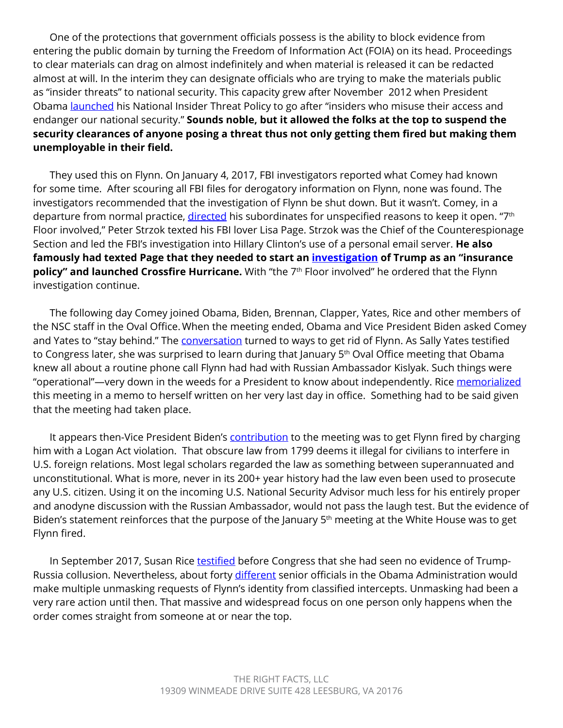One of the protections that government officials possess is the ability to block evidence from entering the public domain by turning the Freedom of Information Act (FOIA) on its head. Proceedings to clear materials can drag on almost indefinitely and when material is released it can be redacted almost at will. In the interim they can designate officials who are trying to make the materials public as "insider threats" to national security. This capacity grew after November 2012 when President Obama [launched](https://obamawhitehouse.archives.gov/the-press-office/2012/11/21/presidential-memorandum-national-insider-threat-policy-and-minimum-stand) his National Insider Threat Policy to go after "insiders who misuse their access and endanger our national security." **Sounds noble, but it allowed the folks at the top to suspend the security clearances of anyone posing a threat thus not only getting them fired but making them unemployable in their field.**

They used this on Flynn. On January 4, 2017, FBI investigators reported what Comey had known for some time. After scouring all FBI files for derogatory information on Flynn, none was found. The investigators recommended that the investigation of Flynn be shut down. But it wasn't. Comey, in a departure from normal practice, [directed](https://www.wsj.com/articles/the-fbis-flynn-outrage-11588288438) his subordinates for unspecified reasons to keep it open. "7<sup>th</sup> Floor involved," Peter Strzok texted his FBI lover Lisa Page. Strzok was the Chief of the Counterespionage Section and led the FBI's investigation into Hillary Clinton's use of a personal email server. **He also famously had texted Page that they needed to start an [investigation](https://www.wsj.com/articles/in-fbi-agents-account-insurance-policy-text-referred-to-russia-probe-1513624580) of Trump as an "insurance**  policy" and launched Crossfire Hurricane. With "the 7<sup>th</sup> Floor involved" he ordered that the Flynn investigation continue.

The following day Comey joined Obama, Biden, Brennan, Clapper, Yates, Rice and other members of the NSC staff in the Oval Office.When the meeting ended, Obama and Vice President Biden asked Comey and Yates to "stay behind." The [conversation](https://abcnews.go.com/Politics/spy-chief-begun-declassification-process-flynn-kislyak-calls/story?id=70837370) turned to ways to get rid of Flynn. As Sally Yates testified to Congress later, she was surprised to learn during that January 5<sup>th</sup> Oval Office meeting that Obama knew all about a routine phone call Flynn had had with Russian Ambassador Kislyak. Such things were "operational"—very down in the weeds for a President to know about independently. Rice [memorialized](https://www.politico.com/f/?id=00000172-2e48-d57a-ad7b-7e6f97060000) this meeting in a memo to herself written on her very last day in office. Something had to be said given that the meeting had taken place.

It appears then-Vice President Biden's **contribution** to the meeting was to get Flynn fired by charging him with a Logan Act violation. That obscure law from 1799 deems it illegal for civilians to interfere in U.S. foreign relations. Most legal scholars regarded the law as something between superannuated and unconstitutional. What is more, never in its 200+ year history had the law even been used to prosecute any U.S. citizen. Using it on the incoming U.S. National Security Advisor much less for his entirely proper and anodyne discussion with the Russian Ambassador, would not pass the laugh test. But the evidence of Biden's statement reinforces that the purpose of the January 5<sup>th</sup> meeting at the White House was to get Flynn fired.

In September 2017, Susan Rice [testified](https://www.foxnews.com/politics/intel-transcripts-obama-officials-no-empirical-evidence-trump-russia-collusion) before Congress that she had seen no evidence of TrumpRussia collusion. Nevertheless, about forty [different](https://www.grassley.senate.gov/imo/media/doc/2020-05-13%20ODNI%20to%20CEG%20RHJ%20(Unmasking).pdf) senior officials in the Obama Administration would make multiple unmasking requests of Flynn's identity from classified intercepts. Unmasking had been a very rare action until then. That massive and widespread focus on one person only happens when the order comes straight from someone at or near the top.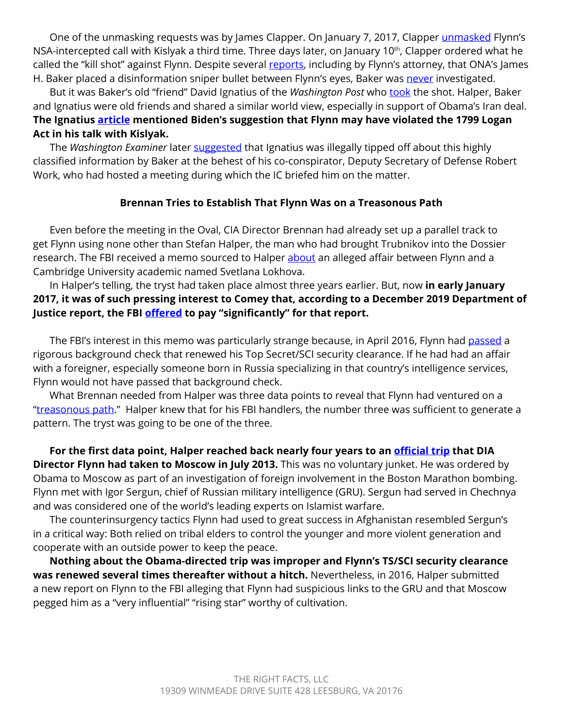One of the unmasking requests was by James Clapper. On January 7, 2017, Clapper [unmasked](https://www.grassley.senate.gov/imo/media/doc/2020-05-13%20ODNI%20to%20CEG%20RHJ%20(Unmasking).pdf) Flynn's NSA-intercepted call with Kislyak a third time. Three days later, on January 10<sup>th</sup>, Clapper ordered what he called the "kill shot" against Flynn. Despite several [reports](https://www.washingtonexaminer.com/news/pentagon-official-denies-ona-director-named-by-flynns-lawyer-is-leaker-to-washington-post), including by Flynn's attorney, that ONA's James H. Baker placed a disinformation sniper bullet between Flynn's eyes, Baker was [never](https://www.washingtonexaminer.com/news/pentagon-official-denies-ona-director-named-by-flynns-lawyer-is-leaker-to-washington-post) investigated.

But it was Baker's old "friend" David Ignatius of the *Washington Post* who [took](https://www.washingtonpost.com/opinions/why-did-obama-dawdle-on-russias-hacking/2017/01/12/75f878a0-d90c-11e6-9a36-1d296534b31e_story.html) the shot. Halper, Baker and Ignatius were old friends and shared a similar world view, especially in support of Obama's Iran deal. **The Ignatius [article](https://www.washingtonpost.com/opinions/why-did-obama-dawdle-on-russias-hacking/2017/01/12/75f878a0-d90c-11e6-9a36-1d296534b31e_story.html) mentioned Biden's suggestion that Flynn may have violated the 1799 Logan Act in his talk with Kislyak.**

The *Washington Examiner* later [suggested](https://www.washingtonexaminer.com/news/pentagon-official-denies-ona-director-named-by-flynns-lawyer-is-leaker-to-washington-post) that Ignatius was illegally tipped off about this highly classified information by Baker at the behest of his co-conspirator, Deputy Secretary of Defense Robert Work, who had hosted a meeting during which the IC briefed him on the matter.

#### **Brennan Tries to Establish That Flynn Was on a Treasonous Path**

Even before the meeting in the Oval, CIA Director Brennan had already set up a parallel track to get Flynn using none other than Stefan Halper, the man who had brought Trubnikov into the Dossier research. The FBI received a memo sourced to Halper [about](https://justthenews.com/sites/default/files/2021-02/Halper%20Source%20Documents_final.pdf) an alleged affair between Flynn and a Cambridge University academic named Svetlana Lokhova.

In Halper's telling, the tryst had taken place almost three years earlier. But, now **in early January 2017, it was of such pressing interest to Comey that, according to a December 2019 Department of Justice report, the FBI [offered](https://www.justice.gov/storage/120919-examination.pdf) to pay "significantly" for that report.**

The FBI's interest in this memo was particularly strange because, in April 2016, Flynn had [passed](https://justthenews.com/sites/default/files/2020-04/FBIFlynnCaseCloseMemo.pdf) a rigorous background check that renewed his Top Secret/SCI security clearance. If he had had an affair with a foreigner, especially someone born in Russia specializing in that country's intelligence services, Flynn would not have passed that background check.

What Brennan needed from Halper was three data points to reveal that Flynn had ventured on a "[treasonous path](https://www.washingtonpost.com/opinions/why-did-obama-dawdle-on-russias-hacking/2017/01/12/75f878a0-d90c-11e6-9a36-1d296534b31e_story.html)." Halper knew that for his FBI handlers, the number three was sufficient to generate a pattern. The tryst was going to be one of the three.

**For the first data point, Halper reached back nearly four years to an [official trip](https://www.defenseone.com/ideas/2016/02/death-gru-commander/125567/) that DIA Director Flynn had taken to Moscow in July 2013.** This was no voluntary junket. He was ordered by Obama to Moscow as part of an investigation of foreign involvement in the Boston Marathon bombing. Flynn met with Igor Sergun, chief of Russian military intelligence (GRU). Sergun had served in Chechnya and was considered one of the world's leading experts on Islamist warfare.

The counterinsurgency tactics Flynn had used to great success in Afghanistan resembled Sergun's in a critical way: Both relied on tribal elders to control the younger and more violent generation and cooperate with an outside power to keep the peace.

**Nothing about the Obama-directed trip was improper and Flynn's TS/SCI security clearance was renewed several times thereafter without a hitch.** Nevertheless, in 2016, Halper submitted a new report on Flynn to the FBI alleging that Flynn had suspicious links to the GRU and that Moscow pegged him as a "very influential" "rising star" worthy of cultivation.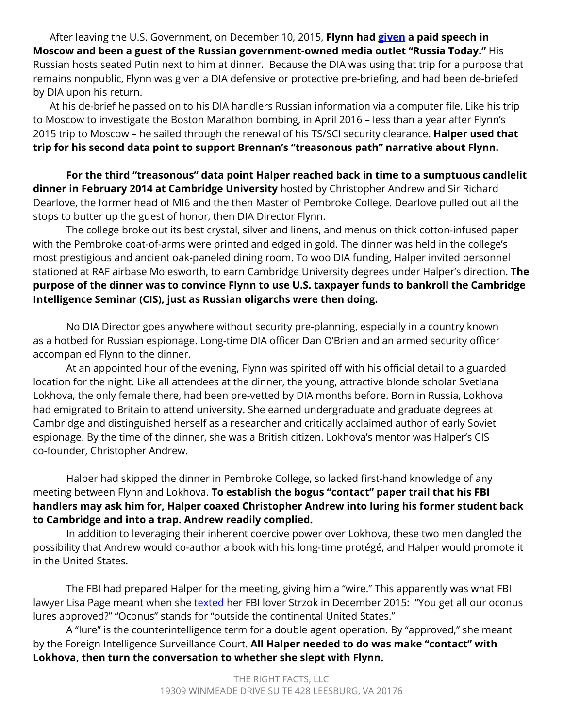After leaving the U.S. Government, on December 10, 2015, **Flynn had [given](https://www.reuters.com/article/us-russia-usa-putin/putins-dinner-with-michael-flynn-i-didnt-even-really-talk-to-him-idUSKBN18V0XZ) a paid speech in Moscow and been a guest of the Russian government-owned media outlet "Russia Today."** His Russian hosts seated Putin next to him at dinner. Because the DIA was using that trip for a purpose that remains nonpublic, Flynn was given a DIA defensive or protective pre-briefing, and had been de-briefed by DIA upon his return.

At his de-brief he [passed](https://www.grassley.senate.gov/news/news-releases/grassley-calls-sunlight-flynn-case-justice-dept-shares-new-exculpatory-material) on to his DIA handlers Russian information via a computer file. Like his trip to Moscow to investigate the Boston Marathon bombing, in April 2016 – less than a year after Flynn's 2015 trip to Moscow – he sailed through the renewal of his TS/SCI security clearance. **Halper used that trip for his second data point to support Brennan's "treasonous path" narrative about Flynn.**

**For the third "treasonous" data point Halper reached back in time to a sumptuous candlelit dinner in February 2014 at Cambridge University** hosted by Christopher Andrew and Sir Richard Dearlove, the former head of MI6 and the then Master of Pembroke College. Dearlove pulled out all the stops to butter up the guest of honor, then DIA Director Flynn.

The college broke out its best crystal, silver and linens, and menus on thick cotton-infused paper with the Pembroke coat-of-arms were printed and edged in gold. The dinner was held in the college's most prestigious and ancient oak-paneled dining room. To woo DIA funding, Halper invited personnel stationed at RAF airbase Molesworth, to earn Cambridge University degrees under Halper's direction. **The purpose of the dinner was to convince Flynn to use U.S. taxpayer funds to bankroll the Cambridge Intelligence Seminar (CIS), just as Russian oligarchs were then doing.** 

No DIA Director goes anywhere without security pre-planning, especially in a country known as a hotbed for Russian espionage. Long-time DIA officer Dan O'Brien and an armed security officer accompanied Flynn to the dinner.

At an appointed hour of the evening, Flynn was spirited off with his official detail to a guarded location for the night. Like all attendees at the dinner, the young, attractive blonde scholar Svetlana Lokhova, the only female there, had been pre-vetted by DIA months before. Born in Russia, Lokhova had emigrated to Britain to attend university. She earned undergraduate and graduate degrees at Cambridge and distinguished herself as a researcher and critically acclaimed author of early Soviet espionage. By the time of the dinner, she was a British citizen. Lokhova's mentor was Halper's CIS co-founder, Christopher Andrew.

Halper had skipped the dinner in Pembroke College, so lacked first-hand knowledge of any meeting between Flynn and Lokhova. **To establish the bogus "contact" paper trail that his FBI handlers may ask him for, Halper coaxed Christopher Andrew into luring his former student back to Cambridge and into a trap. Andrew readily complied.**

In addition to leveraging their inherent coercive power over Lokhova, these two men dangled the possibility that Andrew would co-author a book with his long-time protégé, and Halper would promote it in the United States.

The FBI had prepared Halper for the meeting, giving him a "wire." This apparently was what FBI lawyer Lisa Page meant when she [texted](https://dailycaller.com/2018/12/20/fbi-counterintelligence-trump/) her FBI lover Strzok in December 2015: "You get all our oconus lures approved?" "Oconus" stands for "outside the continental United States."

A "lure" is the counterintelligence term for a double agent operation. By "approved," she meant by the Foreign Intelligence Surveillance Court. **All Halper needed to do was make "contact" with Lokhova, then turn the conversation to whether she slept with Flynn.**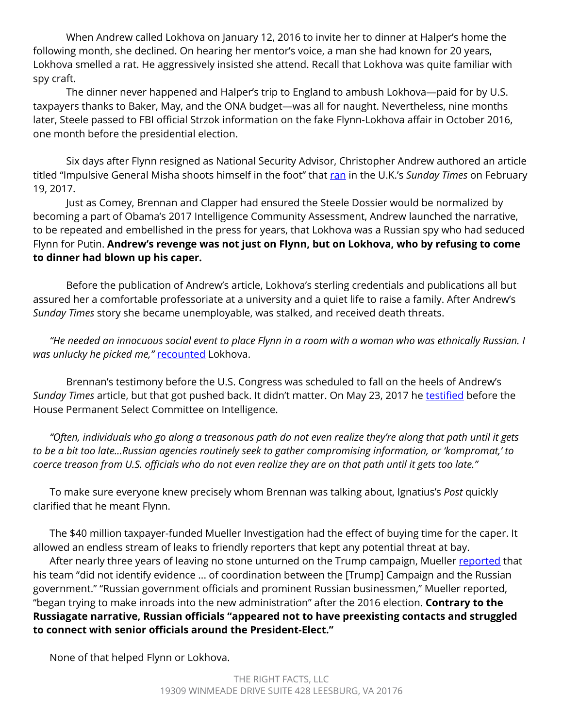When Andrew called Lokhova on January 12, 2016 to invite her to dinner at Halper's home the following month, she declined. On hearing her mentor's voice, a man she had known for 20 years, Lokhova smelled a rat. He aggressively insisted she attend. Recall that Lokhova was quite familiar with spy craft.

The dinner never happened and Halper's trip to England to ambush Lokhova—paid for by U.S. taxpayers thanks to Baker, May, and the ONA budget—was all for naught. Nevertheless, nine months later, Steele passed to FBI official Strzok information on the fake Flynn-Lokhova affair in October 2016, one month before the presidential election.

Six days after Flynn resigned as National Security Advisor, Christopher Andrew authored an article titled "Impulsive General Misha shoots himself in the foot" that [ran](https://www.thetimes.co.uk/article/impulsive-general-misha-shoots-himself-in-the-foot-l7gfpbghr) in the U.K.'s *Sunday Times* on February 19, 2017.

Just as Comey, Brennan and Clapper had ensured the Steele Dossier would be normalized by becoming a part of Obama's 2017 Intelligence Community Assessment, Andrew launched the narrative, to be repeated and embellished in the press for years, that Lokhova was a Russian spy who had seduced Flynn for Putin. **Andrew's revenge was not just on Flynn, but on Lokhova, who by refusing to come to dinner had blown up his caper.**

Before the publication of Andrew's article, Lokhova's sterling credentials and publications all but assured her a comfortable professoriate at a university and a quiet life to raise a family. After Andrew's *Sunday Times* story she became unemployable, was stalked, and received death threats.

*"He needed an innocuous social event to place Flynn in a room with a woman who was ethnically Russian. I was unlucky he picked me,"* [recounted](https://dailycaller.com/2019/04/04/cambridge-halper-flynn-spygate/) Lokhova.

Brennan's testimony before the U.S. Congress was scheduled to fall on the heels of Andrew's *Sunday Times* article, but that got pushed back. It didn't matter. On May 23, 2017 he [testified](http://edition.cnn.com/TRANSCRIPTS/1705/24/nday.05.html) before the House Permanent Select Committee on Intelligence.

*"Often, individuals who go along a treasonous path do not even realize they're along that path until it gets to be a bit too late...Russian agencies routinely seek to gather compromising information, or 'kompromat,' to coerce treason from U.S. officials who do not even realize they are on that path until it gets too late."* 

To make sure everyone knew precisely whom Brennan was talking about, Ignatius's *Post* quickly clarified that he meant Flynn.

The \$40 million taxpayer-funded Mueller Investigation had the effect of buying time for the caper. It allowed an endless stream of leaks to friendly reporters that kept any potential threat at bay.

After nearly three years of leaving no stone unturned on the Trump campaign, Mueller [reported](https://www.nytimes.com/interactive/2019/04/18/us/politics/mueller-report-document.html) that his team "did not identify evidence ... of coordination between the [Trump] Campaign and the Russian government." "Russian government officials and prominent Russian businessmen," Mueller reported, "began trying to make inroads into the new administration" after the 2016 election. **Contrary to the Russiagate narrative, Russian officials "appeared not to have preexisting contacts and struggled to connect with senior officials around the President-Elect."**

None of that helped Flynn or Lokhova.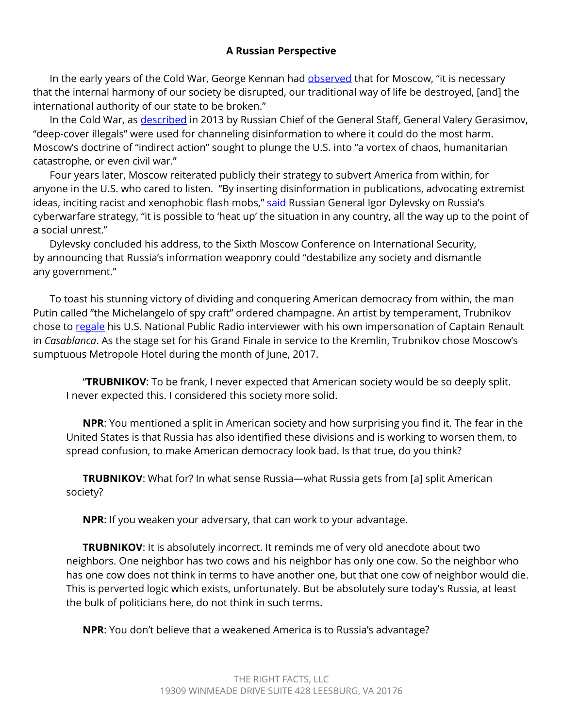## **A Russian Perspective**

In the early years of the Cold War, George Kennan had **observed** that for Moscow, "it is necessary that the internal harmony of our society be disrupted, our traditional way of life be destroyed, [and] the international authority of our state to be broken."

In the Cold War, as [described](https://www.amazon.com/gp/product/0062889419?ie=UTF8&tag=thewaspos09-20&camp=1789&linkCode=xm2&creativeASIN=0062889419) in 2013 by Russian Chief of the General Staff, General Valery Gerasimov, "deep-cover illegals" were used for channeling disinformation to where it could do the most harm. Moscow's doctrine of "indirect action" sought to plunge the U.S. into "a vortex of chaos, humanitarian catastrophe, or even civil war."

Four years later, Moscow reiterated publicly their strategy to subvert America from within, for anyone in the U.S. who cared to listen. "By inserting disinformation in publications, advocating extremist ideas, inciting racist and xenophobic flash mobs," said Russian General Igor Dylevsky on Russia's cyberwarfare strategy, "it is possible to 'heat up' the situation in any country, all the way up to the point of a social unrest."

Dylevsky concluded his address, to the Sixth Moscow Conference on International Security, by announcing that Russia's information weaponry could "destabilize any society and dismantle any government."

To toast his stunning victory of dividing and conquering American democracy from within, the man Putin called "the Michelangelo of spy craft" ordered champagne. An artist by temperament, Trubnikov chose to [regale](https://www.ypradio.org/2017-06-09/russia-meddled-in-u-s-election-comey-says-during-senate-testimony) his U.S. National Public Radio interviewer with his own impersonation of Captain Renault in *Casablanca*. As the stage set for his Grand Finale in service to the Kremlin, Trubnikov chose Moscow's sumptuous Metropole Hotel during the month of June, 2017.

"**TRUBNIKOV**: To be frank, I never expected that American society would be so deeply split. I never expected this. I considered this society more solid.

**NPR**: You mentioned a split in American society and how surprising you find it. The fear in the United States is that Russia has also identified these divisions and is working to worsen them, to spread confusion, to make American democracy look bad. Is that true, do you think?

**TRUBNIKOV**: What for? In what sense Russia—what Russia gets from [a] split American society?

**NPR**: If you weaken your adversary, that can work to your advantage.

**TRUBNIKOV**: It is absolutely incorrect. It reminds me of very old anecdote about two neighbors. One neighbor has two cows and his neighbor has only one cow. So the neighbor who has one cow does not think in terms to have another one, but that one cow of neighbor would die. This is perverted logic which exists, unfortunately. But be absolutely sure today's Russia, at least the bulk of politicians here, do not think in such terms.

**NPR**: You don't believe that a weakened America is to Russia's advantage?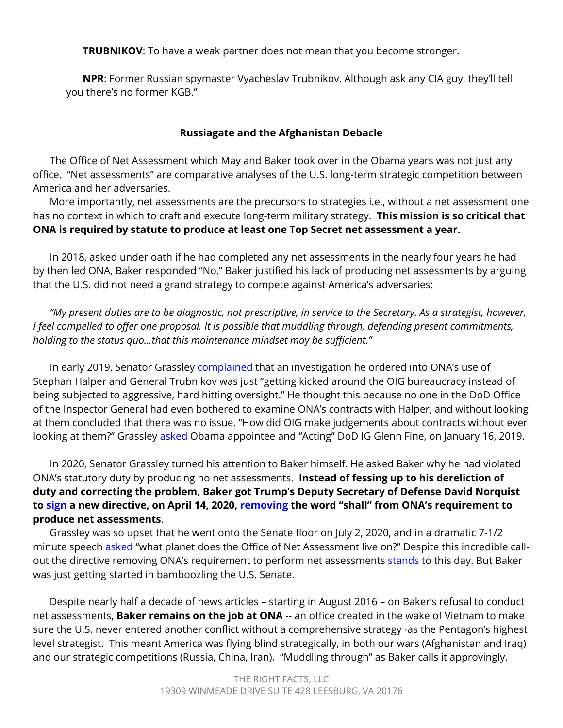**TRUBNIKOV**: To have a weak partner does not mean that you become stronger.

**NPR**: Former Russian spymaster Vyacheslav Trubnikov. Although ask any CIA guy, they'll tell you there's no former KGB."

### **Russiagate and the Afghanistan Debacle**

The Office of Net Assessment which May and Baker took over in the Obama years was not just any office. "Net assessments" are comparative analyses of the U.S. long-term strategic competition between America and her adversaries.

More importantly, net assessments are the precursors to strategies i.e., without a net assessment one has no context in which to craft and execute long-term military strategy. **This mission is so critical that ONA is required by statute to produce at least one Top Secret net assessment a year.** 

In 2018, asked under oath if he had completed any net assessments in the nearly four years he had by then led ONA, Baker responded "No." Baker justified his lack of producing net assessments by arguing that the U.S. did not need a grand strategy to compete against America's adversaries:

*"My present duties are to be diagnostic, not prescriptive, in service to the Secretary. As a strategist, however, I feel compelled to offer one proposal. It is possible that muddling through, defending present commitments, holding to the status quo…that this maintenance mindset may be sufficient."* 

In early 2019, Senator Grassley [complained](https://www.grassley.senate.gov/imo/media/doc/%5bUntitled%5d.pdf) that an investigation he ordered into ONA's use of Stephan Halper and General Trubnikov was just "getting kicked around the OIG bureaucracy instead of being subjected to aggressive, hard hitting oversight." He thought this because no one in the DoD Office of the Inspector General had even bothered to examine ONA's contracts with Halper, and without looking at them concluded that there was no issue. "How did OIG make judgements about contracts without ever looking at them?" Grassley [asked](https://www.grassley.senate.gov/imo/media/doc/%5bUntitled%5d.pdf) Obama appointee and "Acting" DoD IG Glenn Fine, on January 16, 2019.

In 2020, Senator Grassley turned his attention to Baker himself. He asked Baker why he had violated ONA's statutory duty by producing no net assessments. **Instead of fessing up to his dereliction of duty and correcting the problem, Baker got Trump's Deputy Secretary of Defense David Norquist to [sign](https://www.esd.whs.mil/Portals/54/Documents/DD/issuances/dodd/511111p.pdf) a new directive, on April 14, 2020, [removing](https://www.grassley.senate.gov/news/news-releases/grassley-case-waste-fraud-and-abuse-office-net-assessment) the word "shall" from ONA's requirement to produce net assessments**.

Grassley was so upset that he went onto the Senate floor on July 2, 2020, and in a dramatic 7-1/2 minute speech [asked](https://www.grassley.senate.gov/news/news-releases/grassley-case-waste-fraud-and-abuse-office-net-assessment) "what planet does the Office of Net Assessment live on?" Despite this incredible callout the directive removing ONA's requirement to perform net assessments [stands](https://www.grassley.senate.gov/news/news-releases/grassley-pushes-dod-watchdog-dig-deeper-its-review-office-net-assessment) to this day. But Baker was just getting started in bamboozling the U.S. Senate.

Despite nearly half a decade of news articles – starting in August 2016 – on Baker's refusal to conduct net assessments, **Baker remains on the job at ONA** -- an office created in the wake of Vietnam to make sure the U.S. never entered another conflict without a comprehensive strategy -as the Pentagon's highest level strategist. This meant America was flying blind strategically, in both our wars (Afghanistan and Iraq) and our strategic competitions (Russia, China, Iran). "Muddling through" as Baker calls it approvingly.